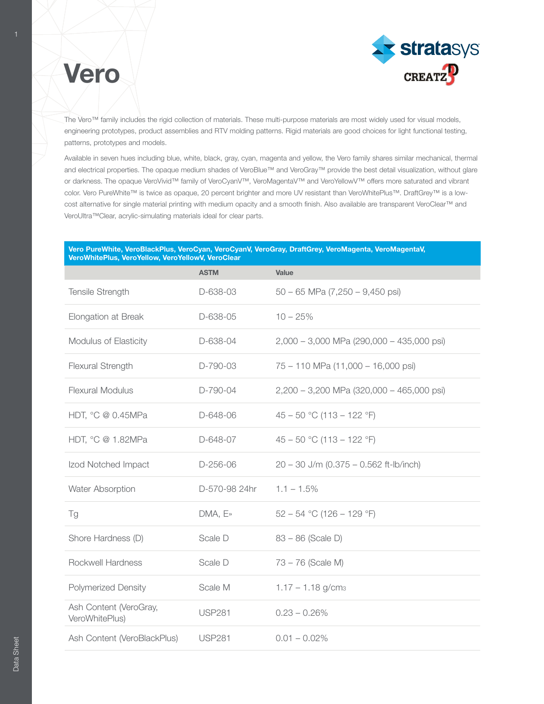

# Vero

The Vero™ family includes the rigid collection of materials. These multi-purpose materials are most widely used for visual models, engineering prototypes, product assemblies and RTV molding patterns. Rigid materials are good choices for light functional testing, patterns, prototypes and models.

Available in seven hues including blue, white, black, gray, cyan, magenta and yellow, the Vero family shares similar mechanical, thermal and electrical properties. The opaque medium shades of VeroBlue™ and VeroGray™ provide the best detail visualization, without glare or darkness. The opaque VeroVivid™ family of VeroCyanV™, VeroMagentaV™ and VeroYellowV™ offers more saturated and vibrant color. Vero PureWhite™ is twice as opaque, 20 percent brighter and more UV resistant than VeroWhitePlus™. DraftGrey™ is a lowcost alternative for single material printing with medium opacity and a smooth finish. Also available are transparent VeroClear™ and VeroUltra™Clear, acrylic-simulating materials ideal for clear parts.

#### Vero PureWhite, VeroBlackPlus, VeroCyan, VeroCyanV, VeroGray, DraftGrey, VeroMagenta, VeroMagentaV, VeroWhitePlus, VeroYellow, VeroYellowV, VeroClear

|                                          | <b>ASTM</b>   | Value                                       |
|------------------------------------------|---------------|---------------------------------------------|
| Tensile Strength                         | D-638-03      | $50 - 65$ MPa $(7,250 - 9,450$ psi)         |
| Elongation at Break                      | D-638-05      | $10 - 25%$                                  |
| Modulus of Elasticity                    | D-638-04      | $2,000 - 3,000$ MPa (290,000 - 435,000 psi) |
| Flexural Strength                        | D-790-03      | 75 - 110 MPa (11,000 - 16,000 psi)          |
| <b>Flexural Modulus</b>                  | D-790-04      | 2,200 - 3,200 MPa (320,000 - 465,000 psi)   |
| HDT, °C @ 0.45MPa                        | D-648-06      | $45 - 50$ °C (113 - 122 °F)                 |
| HDT, °C @ 1.82MPa                        | D-648-07      | $45 - 50$ °C (113 - 122 °F)                 |
| Izod Notched Impact                      | D-256-06      | $20 - 30$ J/m (0.375 - 0.562 ft-lb/inch)    |
| Water Absorption                         | D-570-98 24hr | $1.1 - 1.5\%$                               |
| Tg                                       | $DMA, E*$     | $52 - 54$ °C (126 - 129 °F)                 |
| Shore Hardness (D)                       | Scale D       | $83 - 86$ (Scale D)                         |
| Rockwell Hardness                        | Scale D       | 73 - 76 (Scale M)                           |
| <b>Polymerized Density</b>               | Scale M       | $1.17 - 1.18$ g/cm <sub>3</sub>             |
| Ash Content (VeroGray,<br>VeroWhitePlus) | <b>USP281</b> | $0.23 - 0.26\%$                             |
| Ash Content (VeroBlackPlus)              | <b>USP281</b> | $0.01 - 0.02\%$                             |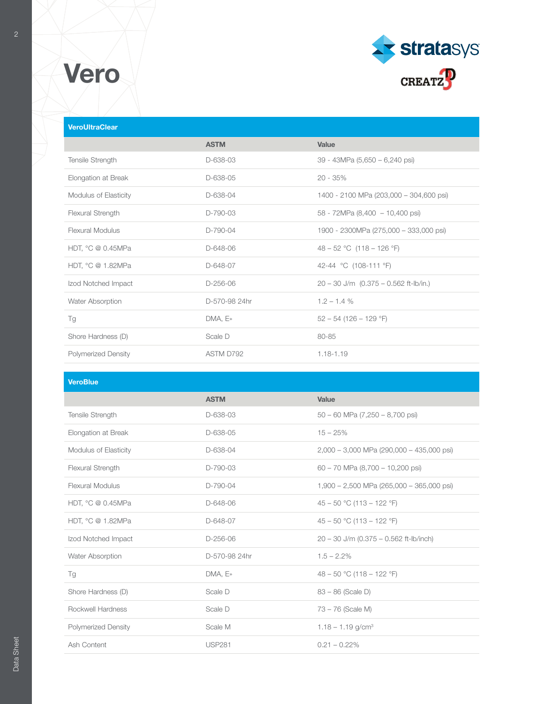



### **VeroUltraClear**

|                       | <b>ASTM</b>   | Value                                     |
|-----------------------|---------------|-------------------------------------------|
| Tensile Strength      | D-638-03      | 39 - 43MPa (5,650 - 6,240 psi)            |
| Elongation at Break   | D-638-05      | $20 - 35\%$                               |
| Modulus of Elasticity | D-638-04      | 1400 - 2100 MPa (203,000 - 304,600 psi)   |
| Flexural Strength     | $D-790-03$    | 58 - 72MPa (8,400 - 10,400 psi)           |
| Flexural Modulus      | D-790-04      | 1900 - 2300MPa (275,000 - 333,000 psi)    |
| HDT, °C @ 0.45MPa     | D-648-06      | $48 - 52$ °C (118 – 126 °F)               |
| HDT, °C @ 1.82MPa     | D-648-07      | 42-44 °C (108-111 °F)                     |
| Izod Notched Impact   | $D-256-06$    | $20 - 30$ J/m $(0.375 - 0.562$ ft-lb/in.) |
| Water Absorption      | D-570-98 24hr | $1.2 - 1.4%$                              |
| Tg                    | DMA, E»       | $52 - 54$ (126 - 129 °F)                  |
| Shore Hardness (D)    | Scale D       | 80-85                                     |
| Polymerized Density   | ASTM D792     | 1.18-1.19                                 |

| <b>VeroBlue</b>            |               |                                             |
|----------------------------|---------------|---------------------------------------------|
|                            | <b>ASTM</b>   | Value                                       |
| Tensile Strength           | D-638-03      | $50 - 60$ MPa $(7,250 - 8,700$ psi)         |
| Elongation at Break        | D-638-05      | $15 - 25%$                                  |
| Modulus of Elasticity      | D-638-04      | 2,000 - 3,000 MPa (290,000 - 435,000 psi)   |
| Flexural Strength          | D-790-03      | $60 - 70$ MPa $(8,700 - 10,200$ psi)        |
| <b>Flexural Modulus</b>    | D-790-04      | $1,900 - 2,500$ MPa (265,000 - 365,000 psi) |
| HDT, °C @ 0.45MPa          | D-648-06      | $45 - 50$ °C (113 - 122 °F)                 |
| HDT, °C @ 1.82MPa          | D-648-07      | $45 - 50$ °C (113 - 122 °F)                 |
| Izod Notched Impact        | $D-256-06$    | $20 - 30$ J/m (0.375 - 0.562 ft-lb/inch)    |
| Water Absorption           | D-570-98 24hr | $1.5 - 2.2\%$                               |
| Tg                         | DMA, E»       | 48 – 50 °C (118 – 122 °F)                   |
| Shore Hardness (D)         | Scale D       | $83 - 86$ (Scale D)                         |
| Rockwell Hardness          | Scale D       | 73 - 76 (Scale M)                           |
| <b>Polymerized Density</b> | Scale M       | $1.18 - 1.19$ g/cm <sup>3</sup>             |
| Ash Content                | <b>USP281</b> | $0.21 - 0.22\%$                             |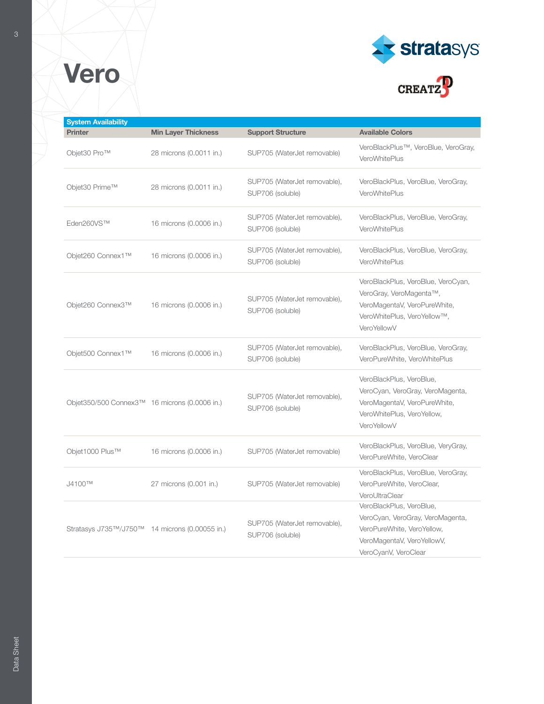





| <b>System Availability</b>                     |                            |                                                  |                                                                                                                                                  |
|------------------------------------------------|----------------------------|--------------------------------------------------|--------------------------------------------------------------------------------------------------------------------------------------------------|
| <b>Printer</b>                                 | <b>Min Layer Thickness</b> | <b>Support Structure</b>                         | <b>Available Colors</b>                                                                                                                          |
| Objet30 Pro™                                   | 28 microns (0.0011 in.)    | SUP705 (WaterJet removable)                      | VeroBlackPlus™, VeroBlue, VeroGray,<br>VeroWhitePlus                                                                                             |
| Objet30 Prime™                                 | 28 microns (0.0011 in.)    | SUP705 (WaterJet removable),<br>SUP706 (soluble) | VeroBlackPlus, VeroBlue, VeroGray,<br>VeroWhitePlus                                                                                              |
| Eden260VS™                                     | 16 microns (0.0006 in.)    | SUP705 (WaterJet removable),<br>SUP706 (soluble) | VeroBlackPlus, VeroBlue, VeroGray,<br><b>VeroWhitePlus</b>                                                                                       |
| Objet260 Connex1™                              | 16 microns (0.0006 in.)    | SUP705 (WaterJet removable),<br>SUP706 (soluble) | VeroBlackPlus, VeroBlue, VeroGray,<br><b>VeroWhitePlus</b>                                                                                       |
| Objet260 Connex3™                              | 16 microns (0.0006 in.)    | SUP705 (WaterJet removable),<br>SUP706 (soluble) | VeroBlackPlus, VeroBlue, VeroCyan,<br>VeroGray, VeroMagenta™,<br>VeroMagentaV, VeroPureWhite,<br>VeroWhitePlus, VeroYellow™,<br>VeroYellowV      |
| Objet500 Connex1™                              | 16 microns (0.0006 in.)    | SUP705 (WaterJet removable),<br>SUP706 (soluble) | VeroBlackPlus, VeroBlue, VeroGray,<br>VeroPureWhite, VeroWhitePlus                                                                               |
| Objet350/500 Connex3™ 16 microns (0.0006 in.)  |                            | SUP705 (WaterJet removable),<br>SUP706 (soluble) | VeroBlackPlus, VeroBlue,<br>VeroCyan, VeroGray, VeroMagenta,<br>VeroMagentaV, VeroPureWhite,<br>VeroWhitePlus, VeroYellow,<br>VeroYellowV        |
| Objet1000 Plus™                                | 16 microns (0.0006 in.)    | SUP705 (WaterJet removable)                      | VeroBlackPlus, VeroBlue, VeryGray,<br>VeroPureWhite, VeroClear                                                                                   |
| J4100TM                                        | 27 microns (0.001 in.)     | SUP705 (WaterJet removable)                      | VeroBlackPlus, VeroBlue, VeroGray,<br>VeroPureWhite, VeroClear,<br>VeroUltraClear                                                                |
| Stratasys J735™/J750™ 14 microns (0.00055 in.) |                            | SUP705 (WaterJet removable),<br>SUP706 (soluble) | VeroBlackPlus, VeroBlue,<br>VeroCyan, VeroGray, VeroMagenta,<br>VeroPureWhite, VeroYellow,<br>VeroMagentaV, VeroYellowV,<br>VeroCyanV, VeroClear |